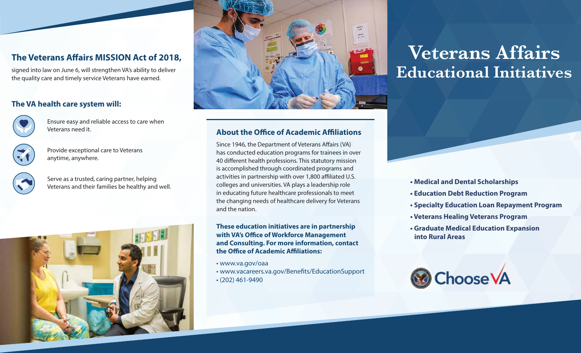# **The Veterans Affairs MISSION Act of 2018,**

signed into law on June 6, will strengthen VA's ability to deliver the quality care and timely service Veterans have earned.

### **The VA health care system will:**



Ensure easy and reliable access to care when Veterans need it.



Provide exceptional care to Veterans anytime, anywhere.

Serve as a trusted, caring partner, helping Veterans and their families be healthy and well.





### **About the Office of Academic Affiliations**

Since 1946, the Department of Veterans Affairs (VA) has conducted education programs for trainees in over 40 different health professions. This statutory mission is accomplished through coordinated programs and activities in partnership with over 1,800 affiliated U.S. colleges and universities. VA plays a leadership role in educating future healthcare professionals to meet the changing needs of healthcare delivery for Veterans and the nation.

**These education initiatives are in partnership with VA's Office of Workforce Management and Consulting. For more information, contact the Office of Academic Affiliations:** 

- www.va.gov/oaa
- www.vacareers.va.gov/Benets/EducationSupport • (202) 461-9490

# **Veterans Affairs Educational Initiatives**

- **Medical and Dental Scholarships**
- **Education Debt Reduction Program**
- **Specialty Education Loan Repayment Program**
- **Veterans Healing Veterans Program**
- **Graduate Medical Education Expansion into Rural Areas**